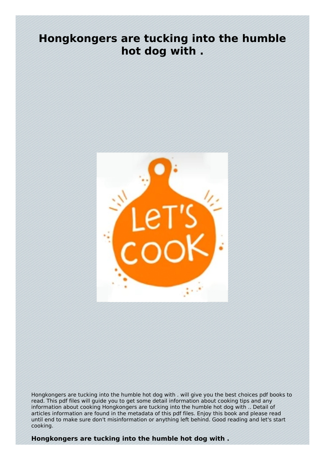## **Hongkongers are tucking into the humble hot dog with .**



Hongkongers are tucking into the humble hot dog with . will give you the best choices pdf books to read. This pdf files will guide you to get some detail information about cooking tips and any information about cooking Hongkongers are tucking into the humble hot dog with .. Detail of articles information are found in the metadata of this pdf files. Enjoy this book and please read until end to make sure don't misinformation or anything left behind. Good reading and let's start cooking.

**Hongkongers are tucking into the humble hot dog with .**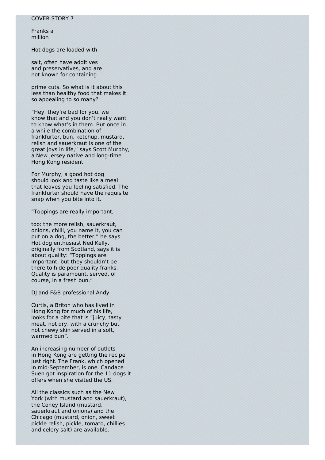Franks a million

Hot dogs are loaded with

salt, often have additives and preservatives, and are not known for containing

prime cuts. So what is it about this less than healthy food that makes it so appealing to so many?

"Hey, they're bad for you, we know that and you don't really want to know what's in them. But once in a while the combination of frankfurter, bun, ketchup, mustard, relish and sauerkraut is one of the great joys in life," says Scott Murphy, a New Jersey native and long-time Hong Kong resident.

For Murphy, a good hot dog should look and taste like a meal that leaves you feeling satisfied. The frankfurter should have the requisite snap when you bite into it.

"Toppings are really important,

too: the more relish, sauerkraut, onions, chilli, you name it, you can put on a dog, the better," he says. Hot dog enthusiast Ned Kelly, originally from Scotland, says it is about quality: "Toppings are important, but they shouldn't be there to hide poor quality franks. Quality is paramount, served, of course, in a fresh bun."

DJ and F&B professional Andy

Curtis, a Briton who has lived in Hong Kong for much of his life, looks for a bite that is "juicy, tasty meat, not dry, with a crunchy but not chewy skin served in a soft, warmed bun".

An increasing number of outlets in Hong Kong are getting the recipe just right. The Frank, which opened in mid-September, is one. Candace Suen got inspiration for the 11 dogs it offers when she visited the US.

All the classics such as the New York (with mustard and sauerkraut), the Coney Island (mustard, sauerkraut and onions) and the Chicago (mustard, onion, sweet pickle relish, pickle, tomato, chillies and celery salt) are available.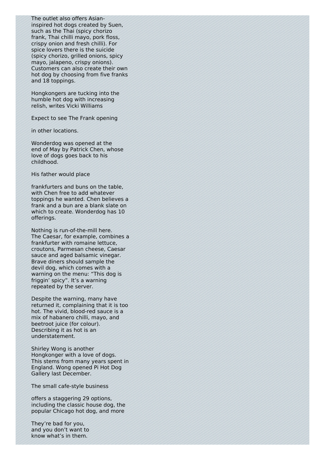The outlet also offers Asianinspired hot dogs created by Suen, such as the Thai (spicy chorizo frank, Thai chilli mayo, pork floss, crispy onion and fresh chilli). For spice lovers there is the suicide (spicy chorizo, grilled onions, spicy mayo, jalapeno, crispy onions). Customers can also create their own hot dog by choosing from five franks and 18 toppings.

Hongkongers are tucking into the humble hot dog with increasing relish, writes Vicki Williams

Expect to see The Frank opening

in other locations.

Wonderdog was opened at the end of May by Patrick Chen, whose love of dogs goes back to his childhood.

His father would place

frankfurters and buns on the table, with Chen free to add whatever toppings he wanted. Chen believes a frank and a bun are a blank slate on which to create. Wonderdog has 10 offerings.

Nothing is run-of-the-mill here. The Caesar, for example, combines a frankfurter with romaine lettuce, croutons, Parmesan cheese, Caesar sauce and aged balsamic vinegar. Brave diners should sample the devil dog, which comes with a warning on the menu: "This dog is friggin' spicy". It's a warning repeated by the server.

Despite the warning, many have returned it, complaining that it is too hot. The vivid, blood-red sauce is a mix of habanero chilli, mayo, and beetroot juice (for colour). Describing it as hot is an understatement.

Shirley Wong is another Hongkonger with a love of dogs. This stems from many years spent in England. Wong opened Pi Hot Dog Gallery last December.

The small cafe-style business

offers a staggering 29 options, including the classic house dog, the popular Chicago hot dog, and more

They're bad for you, and you don't want to know what's in them.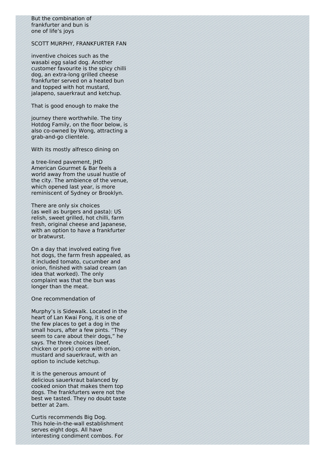But the combination of frankfurter and bun is one of life's joys

## SCOTT MURPHY, FRANKFURTER FAN

inventive choices such as the wasabi egg salad dog. Another customer favourite is the spicy chilli dog, an extra-long grilled cheese frankfurter served on a heated bun and topped with hot mustard, jalapeno, sauerkraut and ketchup.

That is good enough to make the

journey there worthwhile. The tiny Hotdog Family, on the floor below, is also co-owned by Wong, attracting a grab-and-go clientele.

With its mostly alfresco dining on

a tree-lined pavement, JHD American Gourmet & Bar feels a world away from the usual hustle of the city. The ambience of the venue, which opened last year, is more reminiscent of Sydney or Brooklyn.

There are only six choices (as well as burgers and pasta): US relish, sweet grilled, hot chilli, farm fresh, original cheese and Japanese, with an option to have a frankfurter or bratwurst.

On a day that involved eating five hot dogs, the farm fresh appealed, as it included tomato, cucumber and onion, finished with salad cream (an idea that worked). The only complaint was that the bun was longer than the meat.

One recommendation of

Murphy's is Sidewalk. Located in the heart of Lan Kwai Fong, it is one of the few places to get a dog in the small hours, after a few pints. "They seem to care about their dogs," he says. The three choices (beef, chicken or pork) come with onion, mustard and sauerkraut, with an option to include ketchup.

It is the generous amount of delicious sauerkraut balanced by cooked onion that makes them top dogs. The frankfurters were not the best we tasted. They no doubt taste better at 2am.

Curtis recommends Big Dog. This hole-in-the-wall establishment serves eight dogs. All have interesting condiment combos. For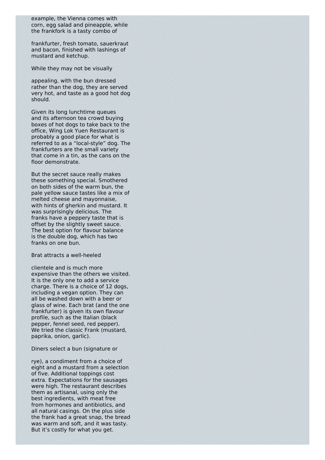example, the Vienna comes with corn, egg salad and pineapple, while the frankfork is a tasty combo of

frankfurter, fresh tomato, sauerkraut and bacon, finished with lashings of mustard and ketchup.

While they may not be visually

appealing, with the bun dressed rather than the dog, they are served very hot, and taste as a good hot dog should.

Given its long lunchtime queues and its afternoon tea crowd buying boxes of hot dogs to take back to the office, Wing Lok Yuen Restaurant is probably a good place for what is referred to as a "local-style" dog. The frankfurters are the small variety that come in a tin, as the cans on the floor demonstrate.

But the secret sauce really makes these something special. Smothered on both sides of the warm bun, the pale yellow sauce tastes like a mix of melted cheese and mayonnaise, with hints of gherkin and mustard. It was surprisingly delicious. The franks have a peppery taste that is offset by the slightly sweet sauce. The best option for flavour balance is the double dog, which has two franks on one bun.

Brat attracts a well-heeled

clientele and is much more expensive than the others we visited. It is the only one to add a service charge. There is a choice of 12 dogs, including a vegan option. They can all be washed down with a beer or glass of wine. Each brat (and the one frankfurter) is given its own flavour profile, such as the Italian (black pepper, fennel seed, red pepper). We tried the classic Frank (mustard, paprika, onion, garlic).

Diners select a bun (signature or

rye), a condiment from a choice of eight and a mustard from a selection of five. Additional toppings cost extra. Expectations for the sausages were high. The restaurant describes them as artisanal, using only the best ingredients, with meat free from hormones and antibiotics, and all natural casings. On the plus side the frank had a great snap, the bread was warm and soft, and it was tasty. But it's costly for what you get.